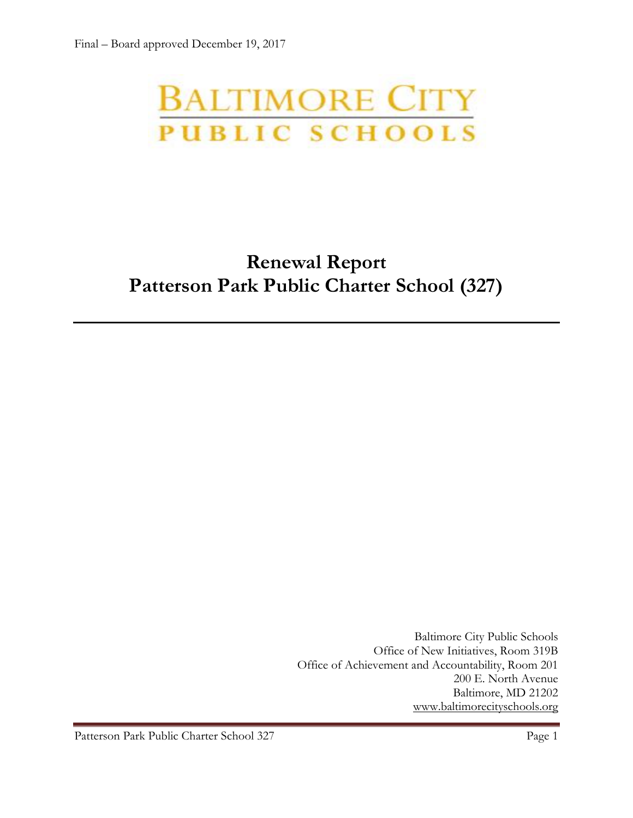# **BALTIMORE CITY** PUBLIC SCHOOLS

# **Renewal Report Patterson Park Public Charter School (327)**

Baltimore City Public Schools Office of New Initiatives, Room 319B Office of Achievement and Accountability, Room 201 200 E. North Avenue Baltimore, MD 21202 [www.baltimorecityschools.org](http://www.baltimorecityschools.org/)

Patterson Park Public Charter School 327 Page 1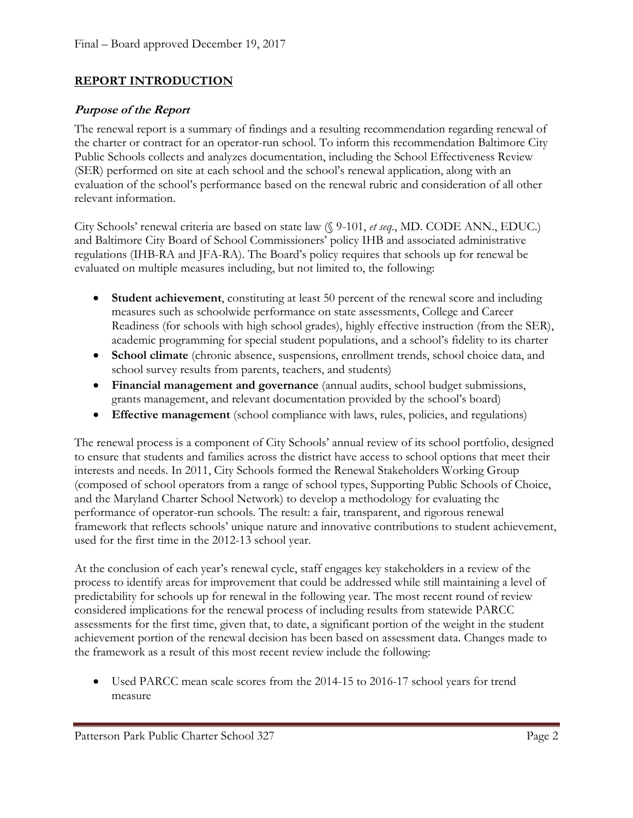#### **REPORT INTRODUCTION**

#### **Purpose of the Report**

The renewal report is a summary of findings and a resulting recommendation regarding renewal of the charter or contract for an operator-run school. To inform this recommendation Baltimore City Public Schools collects and analyzes documentation, including the School Effectiveness Review (SER) performed on site at each school and the school's renewal application, along with an evaluation of the school's performance based on the renewal rubric and consideration of all other relevant information.

City Schools' renewal criteria are based on state law (§ 9-101, *et seq*., MD. CODE ANN., EDUC.) and Baltimore City Board of School Commissioners' policy IHB and associated administrative regulations (IHB-RA and JFA-RA). The Board's policy requires that schools up for renewal be evaluated on multiple measures including, but not limited to, the following:

- **Student achievement**, constituting at least 50 percent of the renewal score and including measures such as schoolwide performance on state assessments, College and Career Readiness (for schools with high school grades), highly effective instruction (from the SER), academic programming for special student populations, and a school's fidelity to its charter
- **School climate** (chronic absence, suspensions, enrollment trends, school choice data, and school survey results from parents, teachers, and students)
- **Financial management and governance** (annual audits, school budget submissions, grants management, and relevant documentation provided by the school's board)
- **Effective management** (school compliance with laws, rules, policies, and regulations)

The renewal process is a component of City Schools' annual review of its school portfolio, designed to ensure that students and families across the district have access to school options that meet their interests and needs. In 2011, City Schools formed the Renewal Stakeholders Working Group (composed of school operators from a range of school types, Supporting Public Schools of Choice, and the Maryland Charter School Network) to develop a methodology for evaluating the performance of operator-run schools. The result: a fair, transparent, and rigorous renewal framework that reflects schools' unique nature and innovative contributions to student achievement, used for the first time in the 2012-13 school year.

At the conclusion of each year's renewal cycle, staff engages key stakeholders in a review of the process to identify areas for improvement that could be addressed while still maintaining a level of predictability for schools up for renewal in the following year. The most recent round of review considered implications for the renewal process of including results from statewide PARCC assessments for the first time, given that, to date, a significant portion of the weight in the student achievement portion of the renewal decision has been based on assessment data. Changes made to the framework as a result of this most recent review include the following:

 Used PARCC mean scale scores from the 2014-15 to 2016-17 school years for trend measure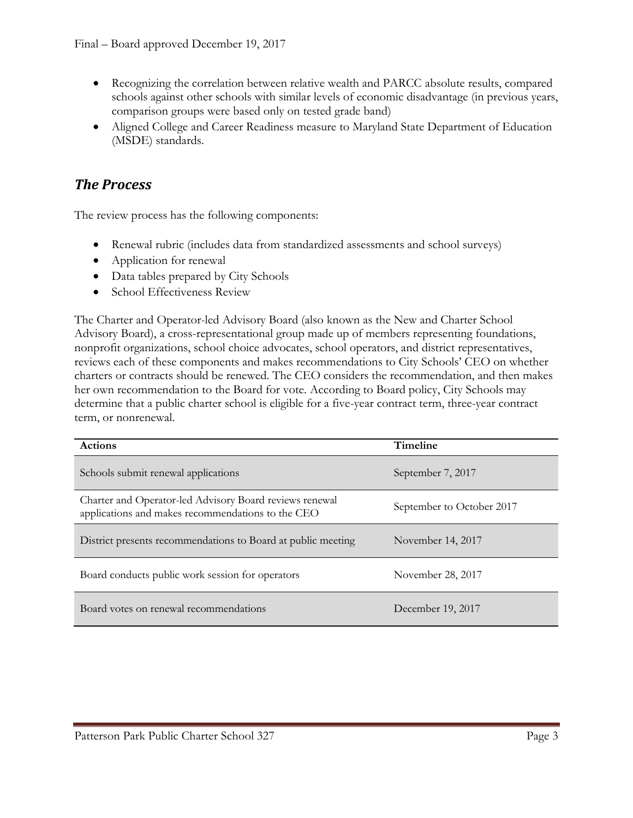- Recognizing the correlation between relative wealth and PARCC absolute results, compared schools against other schools with similar levels of economic disadvantage (in previous years, comparison groups were based only on tested grade band)
- Aligned College and Career Readiness measure to Maryland State Department of Education (MSDE) standards.

#### *The Process*

The review process has the following components:

- Renewal rubric (includes data from standardized assessments and school surveys)
- Application for renewal
- Data tables prepared by City Schools
- School Effectiveness Review

The Charter and Operator-led Advisory Board (also known as the New and Charter School Advisory Board), a cross-representational group made up of members representing foundations, nonprofit organizations, school choice advocates, school operators, and district representatives, reviews each of these components and makes recommendations to City Schools' CEO on whether charters or contracts should be renewed. The CEO considers the recommendation, and then makes her own recommendation to the Board for vote. According to Board policy, City Schools may determine that a public charter school is eligible for a five-year contract term, three-year contract term, or nonrenewal.

| <b>Actions</b>                                                                                               | <b>Timeline</b>           |
|--------------------------------------------------------------------------------------------------------------|---------------------------|
| Schools submit renewal applications                                                                          | September 7, 2017         |
| Charter and Operator-led Advisory Board reviews renewal<br>applications and makes recommendations to the CEO | September to October 2017 |
| District presents recommendations to Board at public meeting                                                 | November 14, 2017         |
| Board conducts public work session for operators                                                             | November 28, 2017         |
| Board votes on renewal recommendations                                                                       | December 19, 2017         |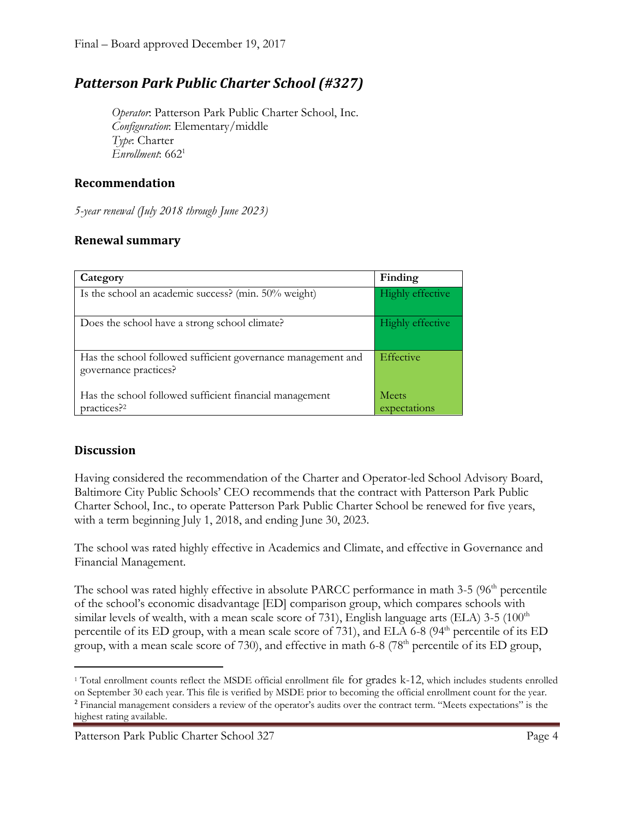### *Patterson Park Public Charter School (#327)*

*Operator*: Patterson Park Public Charter School, Inc. *Configuration*: Elementary/middle *Type*: Charter *Enrollment*: 662<sup>1</sup>

#### **Recommendation**

*5-year renewal (July 2018 through June 2023)*

#### **Renewal summary**

| Category                                                                              | Finding                      |
|---------------------------------------------------------------------------------------|------------------------------|
| Is the school an academic success? (min. 50% weight)                                  | Highly effective             |
| Does the school have a strong school climate?                                         | <b>Highly effective</b>      |
| Has the school followed sufficient governance management and<br>governance practices? | Effective                    |
| Has the school followed sufficient financial management<br>practices? <sup>2</sup>    | <b>Meets</b><br>expectations |

#### **Discussion**

Having considered the recommendation of the Charter and Operator-led School Advisory Board, Baltimore City Public Schools' CEO recommends that the contract with Patterson Park Public Charter School, Inc., to operate Patterson Park Public Charter School be renewed for five years, with a term beginning July 1, 2018, and ending June 30, 2023.

The school was rated highly effective in Academics and Climate, and effective in Governance and Financial Management.

The school was rated highly effective in absolute PARCC performance in math 3-5 (96<sup>th</sup> percentile of the school's economic disadvantage [ED] comparison group, which compares schools with similar levels of wealth, with a mean scale score of 731), English language arts (ELA)  $3-5$  (100<sup>th</sup> percentile of its ED group, with a mean scale score of 731), and ELA 6-8 (94<sup>th</sup> percentile of its ED group, with a mean scale score of 730), and effective in math 6-8 (78<sup>th</sup> percentile of its ED group,

 $\overline{\phantom{a}}$ <sup>1</sup> Total enrollment counts reflect the MSDE official enrollment file for grades k-12, which includes students enrolled on September 30 each year. This file is verified by MSDE prior to becoming the official enrollment count for the year.

<sup>2</sup> Financial management considers a review of the operator's audits over the contract term. "Meets expectations" is the highest rating available.

Patterson Park Public Charter School 327 Page 4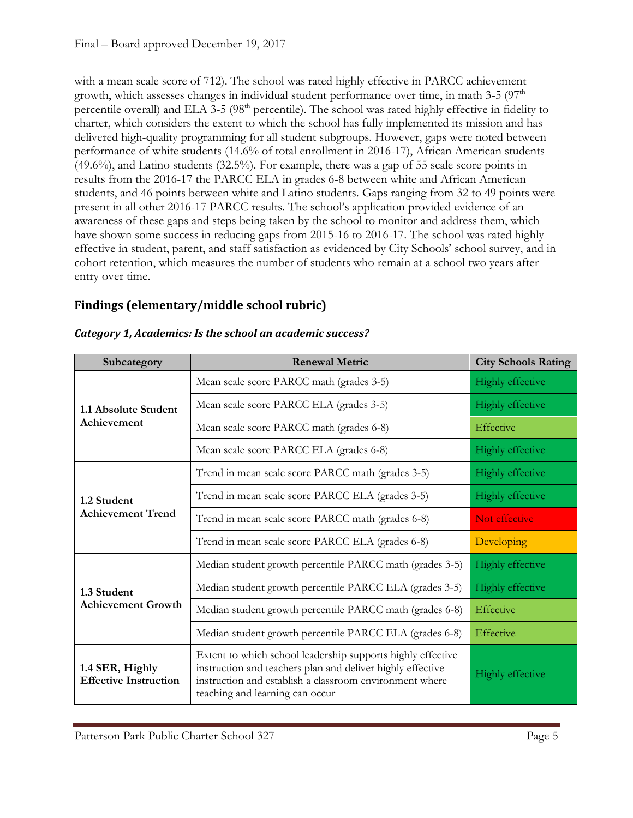with a mean scale score of 712). The school was rated highly effective in PARCC achievement growth, which assesses changes in individual student performance over time, in math  $3-5$  ( $97<sup>th</sup>$ percentile overall) and ELA 3-5  $(98<sup>th</sup>$  percentile). The school was rated highly effective in fidelity to charter, which considers the extent to which the school has fully implemented its mission and has delivered high-quality programming for all student subgroups. However, gaps were noted between performance of white students (14.6% of total enrollment in 2016-17), African American students (49.6%), and Latino students (32.5%). For example, there was a gap of 55 scale score points in results from the 2016-17 the PARCC ELA in grades 6-8 between white and African American students, and 46 points between white and Latino students. Gaps ranging from 32 to 49 points were present in all other 2016-17 PARCC results. The school's application provided evidence of an awareness of these gaps and steps being taken by the school to monitor and address them, which have shown some success in reducing gaps from 2015-16 to 2016-17. The school was rated highly effective in student, parent, and staff satisfaction as evidenced by City Schools' school survey, and in cohort retention, which measures the number of students who remain at a school two years after entry over time.

#### **Findings (elementary/middle school rubric)**

| Subcategory                                     | <b>Renewal Metric</b>                                                                                                                                                                                                   | <b>City Schools Rating</b> |
|-------------------------------------------------|-------------------------------------------------------------------------------------------------------------------------------------------------------------------------------------------------------------------------|----------------------------|
| 1.1 Absolute Student<br>Achievement             | Mean scale score PARCC math (grades 3-5)                                                                                                                                                                                | Highly effective           |
|                                                 | Mean scale score PARCC ELA (grades 3-5)                                                                                                                                                                                 | <b>Highly effective</b>    |
|                                                 | Mean scale score PARCC math (grades 6-8)                                                                                                                                                                                | Effective                  |
|                                                 | Mean scale score PARCC ELA (grades 6-8)                                                                                                                                                                                 | <b>Highly effective</b>    |
| 1.2 Student<br><b>Achievement Trend</b>         | Trend in mean scale score PARCC math (grades 3-5)                                                                                                                                                                       | <b>Highly effective</b>    |
|                                                 | Trend in mean scale score PARCC ELA (grades 3-5)                                                                                                                                                                        | <b>Highly effective</b>    |
|                                                 | Trend in mean scale score PARCC math (grades 6-8)                                                                                                                                                                       | Not effective              |
|                                                 | Trend in mean scale score PARCC ELA (grades 6-8)                                                                                                                                                                        | Developing                 |
| 1.3 Student<br><b>Achievement Growth</b>        | Median student growth percentile PARCC math (grades 3-5)                                                                                                                                                                | <b>Highly effective</b>    |
|                                                 | Median student growth percentile PARCC ELA (grades 3-5)                                                                                                                                                                 | <b>Highly effective</b>    |
|                                                 | Median student growth percentile PARCC math (grades 6-8)                                                                                                                                                                | Effective                  |
|                                                 | Median student growth percentile PARCC ELA (grades 6-8)                                                                                                                                                                 | Effective                  |
| 1.4 SER, Highly<br><b>Effective Instruction</b> | Extent to which school leadership supports highly effective<br>instruction and teachers plan and deliver highly effective<br>instruction and establish a classroom environment where<br>teaching and learning can occur | <b>Highly effective</b>    |

#### *Category 1, Academics: Is the school an academic success?*

Patterson Park Public Charter School 327 Page 5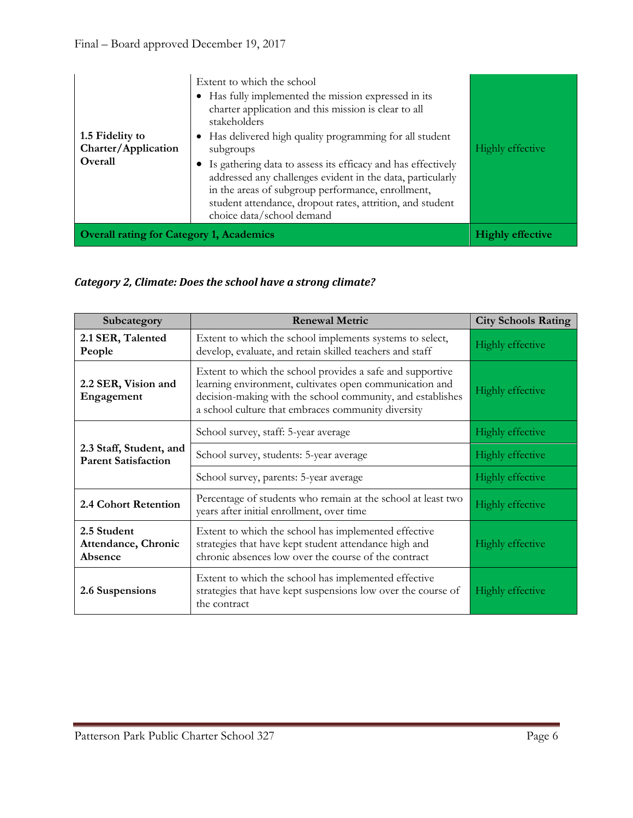| 1.5 Fidelity to<br>Charter/Application<br>Overall | Extent to which the school<br>Has fully implemented the mission expressed in its<br>charter application and this mission is clear to all<br>stakeholders<br>• Has delivered high quality programming for all student<br>subgroups<br>• Is gathering data to assess its efficacy and has effectively<br>addressed any challenges evident in the data, particularly<br>in the areas of subgroup performance, enrollment,<br>student attendance, dropout rates, attrition, and student<br>choice data/school demand | Highly effective        |
|---------------------------------------------------|------------------------------------------------------------------------------------------------------------------------------------------------------------------------------------------------------------------------------------------------------------------------------------------------------------------------------------------------------------------------------------------------------------------------------------------------------------------------------------------------------------------|-------------------------|
| <b>Overall rating for Category 1, Academics</b>   |                                                                                                                                                                                                                                                                                                                                                                                                                                                                                                                  | <b>Highly effective</b> |

## *Category 2, Climate: Does the school have a strong climate?*

| Subcategory                                           | <b>Renewal Metric</b>                                                                                                                                                                                                                    | <b>City Schools Rating</b> |
|-------------------------------------------------------|------------------------------------------------------------------------------------------------------------------------------------------------------------------------------------------------------------------------------------------|----------------------------|
| 2.1 SER, Talented<br>People                           | Extent to which the school implements systems to select,<br>develop, evaluate, and retain skilled teachers and staff                                                                                                                     | <b>Highly effective</b>    |
| 2.2 SER, Vision and<br>Engagement                     | Extent to which the school provides a safe and supportive<br>learning environment, cultivates open communication and<br>decision-making with the school community, and establishes<br>a school culture that embraces community diversity | <b>Highly effective</b>    |
|                                                       | School survey, staff: 5-year average                                                                                                                                                                                                     | <b>Highly effective</b>    |
| 2.3 Staff, Student, and<br><b>Parent Satisfaction</b> | School survey, students: 5-year average                                                                                                                                                                                                  | <b>Highly effective</b>    |
|                                                       | School survey, parents: 5-year average                                                                                                                                                                                                   | <b>Highly effective</b>    |
| 2.4 Cohort Retention                                  | Percentage of students who remain at the school at least two<br>years after initial enrollment, over time                                                                                                                                | Highly effective           |
| 2.5 Student<br>Attendance, Chronic<br>Absence         | Extent to which the school has implemented effective<br>strategies that have kept student attendance high and<br>chronic absences low over the course of the contract                                                                    | <b>Highly effective</b>    |
| 2.6 Suspensions                                       | Extent to which the school has implemented effective<br>strategies that have kept suspensions low over the course of<br>the contract                                                                                                     | <b>Highly effective</b>    |